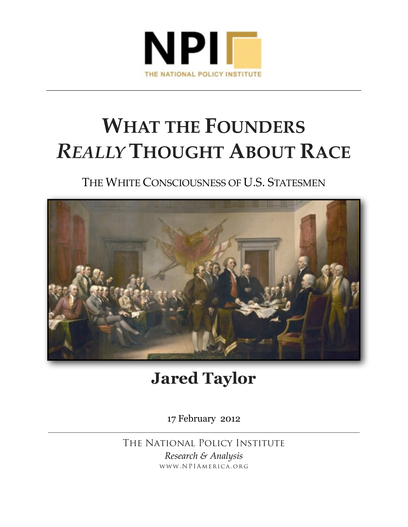

# **WHAT THE FOUNDERS**  *REALLY* **THOUGHT ABOUT RACE**

### THE WHITE CONSCIOUSNESS OF U.S. STATESMEN



## **Jared Taylor**

17 February 2012

The National Policy Institute *Research & Analysis* www.NPIAmerica.org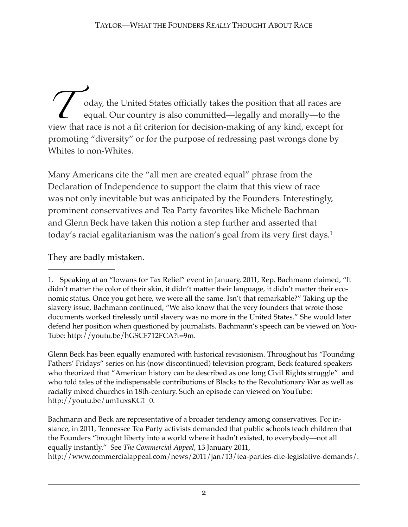oday, the United States officially takes the position that all races are equal. Our country is also committed—legally and morally—to the view that race is not a fit criterion for decision-making of any kind, except for view that race is not a fit criterion for decision-making of any kind, except for promoting "diversity" or for the purpose of redressing past wrongs done by Whites to non-Whites.

Many Americans cite the "all men are created equal" phrase from the Declaration of Independence to support the claim that this view of race was not only inevitable but was anticipated by the Founders. Interestingly, prominent conservatives and Tea Party favorites like Michele Bachman and Glenn Beck have taken this notion a step further and asserted that today's racial egalitarianism was the nation's goal from its very first days[.1](#page-1-0)

They are badly mistaken.

Glenn Beck has been equally enamored with historical revisionism. Throughout his "Founding Fathers' Fridays" series on his (now discontinued) television program, Beck featured speakers who theorized that "American history can be described as one long Civil Rights struggle" and who told tales of the indispensable contributions of Blacks to the Revolutionary War as well as racially mixed churches in 18th-century. Such an episode can viewed on YouTube: http://youtu.be/um1uxsKG1\_0.

Bachmann and Beck are representative of a broader tendency among conservatives. For instance, in 2011, Tennessee Tea Party activists demanded that public schools teach children that the Founders "brought liberty into a world where it hadn't existed, to everybody—not all equally instantly." See *The Commercial Appeal*, 13 January 2011, http://www.commercialappeal.com/news/2011/jan/13/tea-parties-cite-legislative-demands/.

<span id="page-1-0"></span><sup>1.</sup> Speaking at an "Iowans for Tax Relief" event in January, 2011, Rep. Bachmann claimed, "It didn't matter the color of their skin, it didn't matter their language, it didn't matter their economic status. Once you got here, we were all the same. Isn't that remarkable?" Taking up the slavery issue, Bachmann continued, "We also know that the very founders that wrote those documents worked tirelessly until slavery was no more in the United States." She would later defend her position when questioned by journalists. Bachmann's speech can be viewed on You-Tube: http://youtu.be/hGSCF712FCA?t=9m.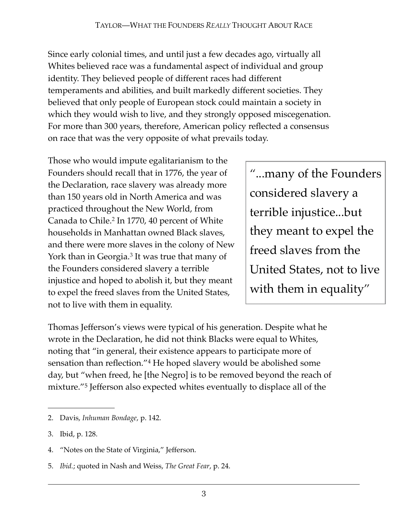Since early colonial times, and until just a few decades ago, virtually all Whites believed race was a fundamental aspect of individual and group identity. They believed people of different races had different temperaments and abilities, and built markedly different societies. They believed that only people of European stock could maintain a society in which they would wish to live, and they strongly opposed miscegenation. For more than 300 years, therefore, American policy reflected a consensus on race that was the very opposite of what prevails today.

Those who would impute egalitarianism to the Founders should recall that in 1776, the year of the Declaration, race slavery was already more than 150 years old in North America and was practiced throughout the New World, from Canada to Chile.<sup>[2](#page-2-0)</sup> In 1770, 40 percent of White households in Manhattan owned Black slaves, and there were more slaves in the colony of New York than in Georgia.<sup>[3](#page-2-1)</sup> It was true that many of the Founders considered slavery a terrible injustice and hoped to abolish it, but they meant to expel the freed slaves from the United States, not to live with them in equality.

"...many of the Founders considered slavery a terrible injustice...but they meant to expel the freed slaves from the United States, not to live with them in equality"

Thomas Jefferson's views were typical of his generation. Despite what he wrote in the Declaration, he did not think Blacks were equal to Whites, noting that "in general, their existence appears to participate more of sensation than reflection."[4](#page-2-2) He hoped slavery would be abolished some day, but "when freed, he [the Negro] is to be removed beyond the reach of mixture."[5](#page-2-3) Jefferson also expected whites eventually to displace all of the

<span id="page-2-2"></span>4. "Notes on the State of Virginia," Jefferson.

<span id="page-2-0"></span><sup>2.</sup> Davis, *Inhuman Bondage*, p. 142.

<span id="page-2-1"></span><sup>3.</sup> Ibid, p. 128.

<span id="page-2-3"></span><sup>5.</sup> *Ibid.*; quoted in Nash and Weiss, *The Great Fear*, p. 24.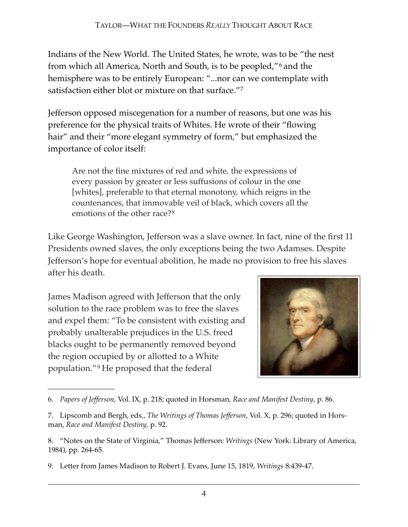Indians of the New World. The United States, he wrote, was to be "the nest from which all America, North and South, is to be peopled,"[6](#page-3-0) and the hemisphere was to be entirely European: "...nor can we contemplate with satisfaction either blot or mixture on that surface."[7](#page-3-1)

Jefferson opposed miscegenation for a number of reasons, but one was his preference for the physical traits of Whites. He wrote of their "flowing hair" and their "more elegant symmetry of form," but emphasized the importance of color itself:

Are not the fine mixtures of red and white, the expressions of every passion by greater or less suffusions of colour in the one [whites], preferable to that eternal monotony, which reigns in the countenances, that immovable veil of black, which covers all the emotions of the other race?[8](#page-3-2)

Like George Washington, Jefferson was a slave owner. In fact, nine of the first 11 Presidents owned slaves, the only exceptions being the two Adamses. Despite Jefferson's hope for eventual abolition, he made no provision to free his slaves after his death.

James Madison agreed with Jefferson that the only solution to the race problem was to free the slaves and expel them: "To be consistent with existing and probably unalterable prejudices in the U.S. freed blacks ought to be permanently removed beyond the region occupied by or allotted to a White population."[9](#page-3-3) He proposed that the federal



<sup>6.</sup> *Papers of Jefferson*, Vol. IX, p. 218; quoted in Horsman, *Race and Manifest Destiny*, p. 86.

<span id="page-3-1"></span><span id="page-3-0"></span><sup>7.</sup> Lipscomb and Bergh, eds., *The Writings of Thomas Jefferson*, Vol. X, p. 296; quoted in Horsman, *Race and Manifest Destiny*, p. 92.

<span id="page-3-2"></span><sup>8.</sup> "Notes on the State of Virginia," Thomas Jefferson: *Writings* (New York: Library of America, 1984), pp. 264-65.

<span id="page-3-3"></span><sup>9.</sup> Letter from James Madison to Robert J. Evans, June 15, 1819, *Writings* 8:439-47.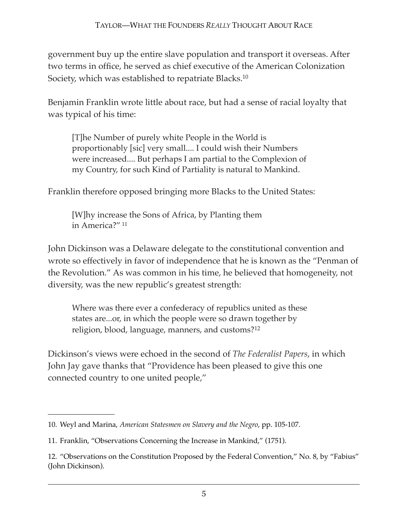government buy up the entire slave population and transport it overseas. After two terms in office, he served as chief executive of the American Colonization Society, which was established to repatriate Blacks[.10](#page-4-0)

Benjamin Franklin wrote little about race, but had a sense of racial loyalty that was typical of his time:

[T]he Number of purely white People in the World is proportionably [sic] very small.... I could wish their Numbers were increased.... But perhaps I am partial to the Complexion of my Country, for such Kind of Partiality is natural to Mankind.

Franklin therefore opposed bringing more Blacks to the United States:

[W]hy increase the Sons of Africa, by Planting them in America?" [11](#page-4-1)

John Dickinson was a Delaware delegate to the constitutional convention and wrote so effectively in favor of independence that he is known as the "Penman of the Revolution." As was common in his time, he believed that homogeneity, not diversity, was the new republic's greatest strength:

Where was there ever a confederacy of republics united as these states are...or, in which the people were so drawn together by religion, blood, language, manners, and customs?[12](#page-4-2)

Dickinson's views were echoed in the second of *The Federalist Papers*, in which John Jay gave thanks that "Providence has been pleased to give this one connected country to one united people,"

<span id="page-4-0"></span><sup>10.</sup> Weyl and Marina, *American Statesmen on Slavery and the Negro*, pp. 105-107.

<span id="page-4-1"></span><sup>11.</sup> Franklin, "Observations Concerning the Increase in Mankind," (1751).

<span id="page-4-2"></span><sup>12.</sup> "Observations on the Constitution Proposed by the Federal Convention," No. 8, by "Fabius" (John Dickinson).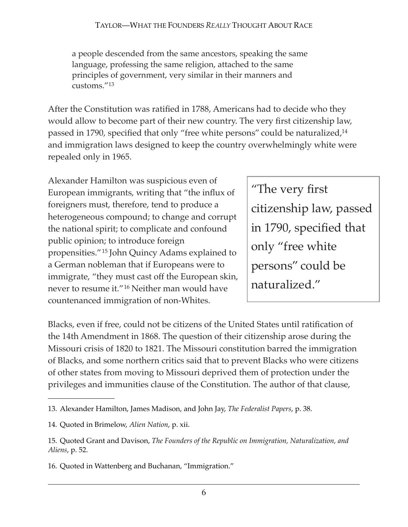a people descended from the same ancestors, speaking the same language, professing the same religion, attached to the same principles of government, very similar in their manners and customs."[13](#page-5-0)

After the Constitution was ratified in 1788, Americans had to decide who they would allow to become part of their new country. The very first citizenship law, passed in 1790, specified that only "free white persons" could be naturalized,<sup>14</sup> and immigration laws designed to keep the country overwhelmingly white were repealed only in 1965.

Alexander Hamilton was suspicious even of European immigrants, writing that "the influx of foreigners must, therefore, tend to produce a heterogeneous compound; to change and corrupt the national spirit; to complicate and confound public opinion; to introduce foreign propensities."[15](#page-5-2) John Quincy Adams explained to a German nobleman that if Europeans were to immigrate, "they must cast off the European skin, never to resume it."[16](#page-5-3) Neither man would have countenanced immigration of non-Whites.

"The very first citizenship law, passed in 1790, specified that only "free white persons" could be naturalized."

Blacks, even if free, could not be citizens of the United States until ratification of the 14th Amendment in 1868. The question of their citizenship arose during the Missouri crisis of 1820 to 1821. The Missouri constitution barred the immigration of Blacks, and some northern critics said that to prevent Blacks who were citizens of other states from moving to Missouri deprived them of protection under the privileges and immunities clause of the Constitution. The author of that clause,

<span id="page-5-0"></span><sup>13.</sup> Alexander Hamilton, James Madison, and John Jay, *The Federalist Papers*, p. 38.

<span id="page-5-1"></span><sup>14.</sup> Quoted in Brimelow, *Alien Nation*, p. xii.

<span id="page-5-2"></span><sup>15.</sup> Quoted Grant and Davison, *The Founders of the Republic on Immigration, Naturalization, and Aliens*, p. 52.

<span id="page-5-3"></span><sup>16.</sup> Quoted in Wattenberg and Buchanan, "Immigration."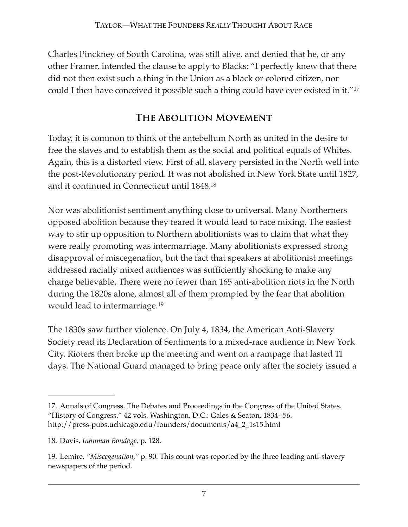Charles Pinckney of South Carolina, was still alive, and denied that he, or any other Framer, intended the clause to apply to Blacks: "I perfectly knew that there did not then exist such a thing in the Union as a black or colored citizen, nor could I then have conceived it possible such a thing could have ever existed in it."[17](#page-6-0)

#### **The Abolition Movement**

Today, it is common to think of the antebellum North as united in the desire to free the slaves and to establish them as the social and political equals of Whites. Again, this is a distorted view. First of all, slavery persisted in the North well into the post-Revolutionary period. It was not abolished in New York State until 1827, and it continued in Connecticut until 1848[.18](#page-6-1)

Nor was abolitionist sentiment anything close to universal. Many Northerners opposed abolition because they feared it would lead to race mixing. The easiest way to stir up opposition to Northern abolitionists was to claim that what they were really promoting was intermarriage. Many abolitionists expressed strong disapproval of miscegenation, but the fact that speakers at abolitionist meetings addressed racially mixed audiences was sufficiently shocking to make any charge believable. There were no fewer than 165 anti-abolition riots in the North during the 1820s alone, almost all of them prompted by the fear that abolition would lead to intermarriage[.19](#page-6-2)

The 1830s saw further violence. On July 4, 1834, the American Anti-Slavery Society read its Declaration of Sentiments to a mixed-race audience in New York City. Rioters then broke up the meeting and went on a rampage that lasted 11 days. The National Guard managed to bring peace only after the society issued a

<span id="page-6-0"></span><sup>17.</sup> Annals of Congress. The Debates and Proceedings in the Congress of the United States. "History of Congress." 42 vols. Washington, D.C.: Gales & Seaton, 1834--56. [http://press-pubs.uchicago.edu/founders/documents/a4\\_2\\_1s15.html](http://press-pubs.uchicago.edu/founders/documents/a4_2_1s15.html)

<span id="page-6-1"></span><sup>18.</sup> Davis, *Inhuman Bondage,* p. 128.

<span id="page-6-2"></span><sup>19.</sup> Lemire, *"Miscegenation,"* p. 90. This count was reported by the three leading anti-slavery newspapers of the period.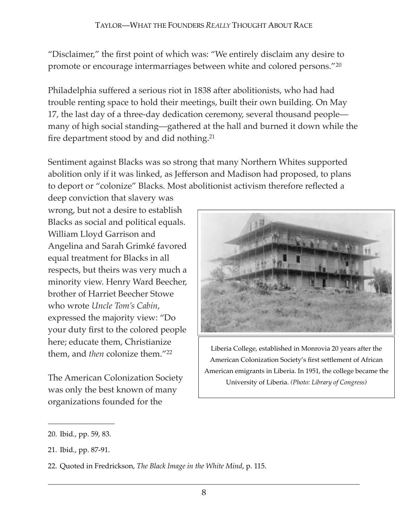"Disclaimer," the first point of which was: "We entirely disclaim any desire to promote or encourage intermarriages between white and colored persons."[20](#page-7-0)

Philadelphia suffered a serious riot in 1838 after abolitionists, who had had trouble renting space to hold their meetings, built their own building. On May 17, the last day of a three-day dedication ceremony, several thousand people many of high social standing—gathered at the hall and burned it down while the fire department stood by and did nothing[.21](#page-7-1)

Sentiment against Blacks was so strong that many Northern Whites supported abolition only if it was linked, as Jefferson and Madison had proposed, to plans to deport or "colonize" Blacks. Most abolitionist activism therefore reflected a

deep conviction that slavery was wrong, but not a desire to establish Blacks as social and political equals. William Lloyd Garrison and Angelina and Sarah Grimké favored equal treatment for Blacks in all respects, but theirs was very much a minority view. Henry Ward Beecher, brother of Harriet Beecher Stowe who wrote *Uncle Tom's Cabin*, expressed the majority view: "Do your duty first to the colored people here; educate them, Christianize them, and *then* colonize them."[22](#page-7-2)

The American Colonization Society was only the best known of many organizations founded for the



Liberia College, established in Monrovia 20 years after the American Colonization Society's first settlement of African American emigrants in Liberia. In 1951, the college became the University of Liberia. *(Photo: Library of Congress)*

<span id="page-7-0"></span><sup>20.</sup> Ibid*.*, pp. 59, 83.

<span id="page-7-1"></span><sup>21.</sup> Ibid*.*, pp. 87-91.

<span id="page-7-2"></span><sup>22.</sup> Quoted in Fredrickson, *The Black Image in the White Mind*, p. 115.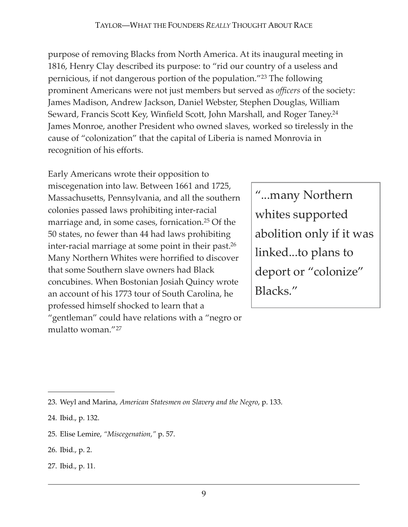#### TAYLOR—WHAT THE FOUNDERS *REALLY* THOUGHT ABOUT RACE

purpose of removing Blacks from North America. At its inaugural meeting in 1816, Henry Clay described its purpose: to "rid our country of a useless and pernicious, if not dangerous portion of the population."[23](#page-8-0) The following prominent Americans were not just members but served as *officers* of the society: James Madison, Andrew Jackson, Daniel Webster, Stephen Douglas, William Seward, Francis Scott Key, Winfield Scott, John Marshall, and Roger Taney[.24](#page-8-1) James Monroe, another President who owned slaves, worked so tirelessly in the cause of "colonization" that the capital of Liberia is named Monrovia in recognition of his efforts.

Early Americans wrote their opposition to miscegenation into law. Between 1661 and 1725, Massachusetts, Pennsylvania, and all the southern colonies passed laws prohibiting inter-racial marriage and, in some cases, fornication[.25](#page-8-2) Of the 50 states, no fewer than 44 had laws prohibiting inter-racial marriage at some point in their past[.26](#page-8-3) Many Northern Whites were horrified to discover that some Southern slave owners had Black concubines. When Bostonian Josiah Quincy wrote an account of his 1773 tour of South Carolina, he professed himself shocked to learn that a "gentleman" could have relations with a "negro or mulatto woman."[27](#page-8-4)

"...many Northern whites supported abolition only if it was linked...to plans to deport or "colonize" Blacks."

- <span id="page-8-3"></span>26. Ibid*.*, p. 2.
- <span id="page-8-4"></span>27. Ibid., p. 11.

<span id="page-8-0"></span><sup>23.</sup> Weyl and Marina, *American Statesmen on Slavery and the Negro*, p. 133.

<span id="page-8-1"></span><sup>24.</sup> Ibid., p. 132.

<span id="page-8-2"></span><sup>25.</sup> Elise Lemire, *"Miscegenation,"* p. 57.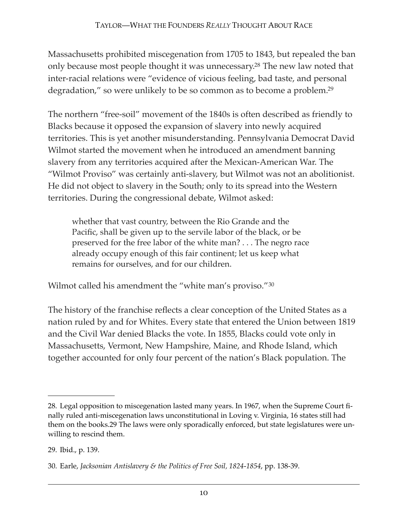Massachusetts prohibited miscegenation from 1705 to 1843, but repealed the ban only because most people thought it was unnecessary[.28](#page-9-0) The new law noted that inter-racial relations were "evidence of vicious feeling, bad taste, and personal degradation," so were unlikely to be so common as to become a problem[.29](#page-9-1)

The northern "free-soil" movement of the 1840s is often described as friendly to Blacks because it opposed the expansion of slavery into newly acquired territories. This is yet another misunderstanding. Pennsylvania Democrat David Wilmot started the movement when he introduced an amendment banning slavery from any territories acquired after the Mexican-American War. The "Wilmot Proviso" was certainly anti-slavery, but Wilmot was not an abolitionist. He did not object to slavery in the South; only to its spread into the Western territories. During the congressional debate, Wilmot asked:

whether that vast country, between the Rio Grande and the Pacific, shall be given up to the servile labor of the black, or be preserved for the free labor of the white man? . . . The negro race already occupy enough of this fair continent; let us keep what remains for ourselves, and for our children.

Wilmot called his amendment the "white man's proviso."<sup>[30](#page-9-2)</sup>

The history of the franchise reflects a clear conception of the United States as a nation ruled by and for Whites. Every state that entered the Union between 1819 and the Civil War denied Blacks the vote. In 1855, Blacks could vote only in Massachusetts, Vermont, New Hampshire, Maine, and Rhode Island, which together accounted for only four percent of the nation's Black population. The

<span id="page-9-0"></span><sup>28.</sup> Legal opposition to miscegenation lasted many years. In 1967, when the Supreme Court finally ruled anti-miscegenation laws unconstitutional in Loving v. Virginia, 16 states still had them on the books.29 The laws were only sporadically enforced, but state legislatures were unwilling to rescind them.

<span id="page-9-1"></span><sup>29.</sup> Ibid., p. 139.

<span id="page-9-2"></span><sup>30.</sup> Earle, *Jacksonian Antislavery & the Politics of Free Soil, 1824-1854*, pp. 138-39.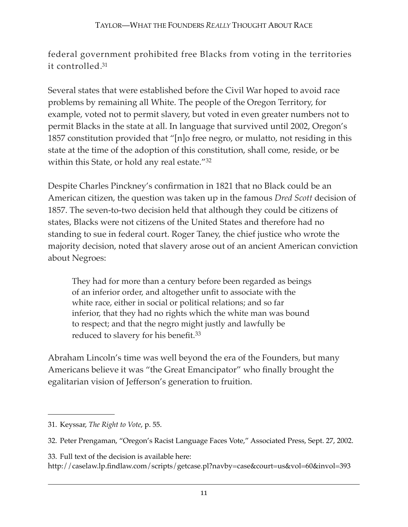federal government prohibited free Blacks from voting in the territories it controlled[.31](#page-10-0)

Several states that were established before the Civil War hoped to avoid race problems by remaining all White. The people of the Oregon Territory, for example, voted not to permit slavery, but voted in even greater numbers not to permit Blacks in the state at all. In language that survived until 2002, Oregon's 1857 constitution provided that "[n]o free negro, or mulatto, not residing in this state at the time of the adoption of this constitution, shall come, reside, or be within this State, or hold any real estate."<sup>[32](#page-10-1)</sup>

Despite Charles Pinckney's confirmation in 1821 that no Black could be an American citizen, the question was taken up in the famous *Dred Scott* decision of 1857. The seven-to-two decision held that although they could be citizens of states, Blacks were not citizens of the United States and therefore had no standing to sue in federal court. Roger Taney, the chief justice who wrote the majority decision, noted that slavery arose out of an ancient American conviction about Negroes:

They had for more than a century before been regarded as beings of an inferior order, and altogether unfit to associate with the white race, either in social or political relations; and so far inferior, that they had no rights which the white man was bound to respect; and that the negro might justly and lawfully be reduced to slavery for his benefit.<sup>[33](#page-10-2)</sup>

Abraham Lincoln's time was well beyond the era of the Founders, but many Americans believe it was "the Great Emancipator" who finally brought the egalitarian vision of Jefferson's generation to fruition.

<span id="page-10-2"></span>33. Full text of the decision is available here:

<http://caselaw.lp.findlaw.com/scripts/getcase.pl?navby=case&court=us&vol=60&invol=393>

<span id="page-10-0"></span><sup>31.</sup> Keyssar, *The Right to Vote*, p. 55.

<span id="page-10-1"></span><sup>32.</sup> Peter Prengaman, "Oregon's Racist Language Faces Vote," Associated Press, Sept. 27, 2002.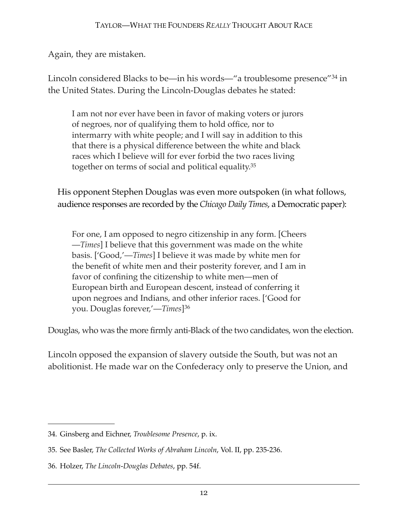Again, they are mistaken.

Lincoln considered Blacks to be—in his words—"a troublesome presence"[34](#page-11-0) in the United States. During the Lincoln-Douglas debates he stated:

I am not nor ever have been in favor of making voters or jurors of negroes, nor of qualifying them to hold office, nor to intermarry with white people; and I will say in addition to this that there is a physical difference between the white and black races which I believe will for ever forbid the two races living together on terms of social and political equality[.35](#page-11-1)

His opponent Stephen Douglas was even more outspoken (in what follows, audience responses are recorded by the *Chicago Daily Times*, a Democratic paper):

For one, I am opposed to negro citizenship in any form. [Cheers —*Times*] I believe that this government was made on the white basis. ['Good,'—*Times*] I believe it was made by white men for the benefit of white men and their posterity forever, and I am in favor of confining the citizenship to white men—men of European birth and European descent, instead of conferring it upon negroes and Indians, and other inferior races. ['Good for you. Douglas forever,'—*Times*][36](#page-11-2)

Douglas, who was the more firmly anti-Black of the two candidates, won the election.

Lincoln opposed the expansion of slavery outside the South, but was not an abolitionist. He made war on the Confederacy only to preserve the Union, and

<span id="page-11-0"></span><sup>34.</sup> Ginsberg and Eichner, *Troublesome Presence*, p. ix.

<span id="page-11-1"></span><sup>35.</sup> See Basler, *The Collected Works of Abraham Lincoln*, Vol. II, pp. 235-236.

<span id="page-11-2"></span><sup>36.</sup> Holzer, *The Lincoln-Douglas Debates*, pp. 54f.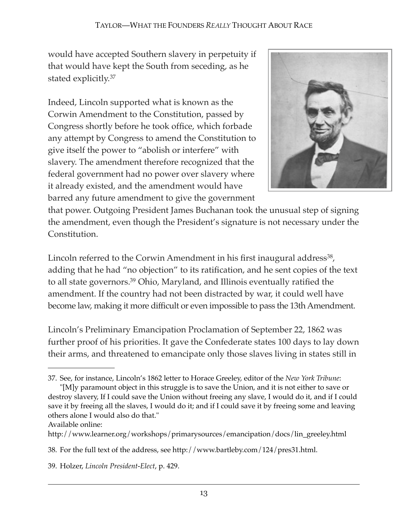would have accepted Southern slavery in perpetuity if that would have kept the South from seceding, as he stated explicitly.[37](#page-12-0)

Indeed, Lincoln supported what is known as the Corwin Amendment to the Constitution, passed by Congress shortly before he took office, which forbade any attempt by Congress to amend the Constitution to give itself the power to "abolish or interfere" with slavery. The amendment therefore recognized that the federal government had no power over slavery where it already existed, and the amendment would have barred any future amendment to give the government



that power. Outgoing President James Buchanan took the unusual step of signing the amendment, even though the President's signature is not necessary under the Constitution.

Lincoln referred to the Corwin Amendment in his first inaugural address<sup>38</sup>, adding that he had "no objection" to its ratification, and he sent copies of the text to all state governors[.39](#page-12-2) Ohio, Maryland, and Illinois eventually ratified the amendment. If the country had not been distracted by war, it could well have become law, making it more difficult or even impossible to pass the 13th Amendment.

Lincoln's Preliminary Emancipation Proclamation of September 22, 1862 was further proof of his priorities. It gave the Confederate states 100 days to lay down their arms, and threatened to emancipate only those slaves living in states still in

Available online:

<span id="page-12-0"></span><sup>37.</sup> See, for instance, Lincoln's 1862 letter to Horace Greeley, editor of the *New York Tribune*:

<sup>&</sup>quot;[M]y paramount object in this struggle is to save the Union, and it is not either to save or destroy slavery, If I could save the Union without freeing any slave, I would do it, and if I could save it by freeing all the slaves, I would do it; and if I could save it by freeing some and leaving others alone I would also do that."

http://www.learner.org/workshops/primarysources/emancipation/docs/lin\_greeley.html

<span id="page-12-1"></span><sup>38.</sup> For the full text of the address, see http://www.bartleby.com/124/pres31.html.

<span id="page-12-2"></span><sup>39.</sup> Holzer, *Lincoln President-Elect*, p. 429.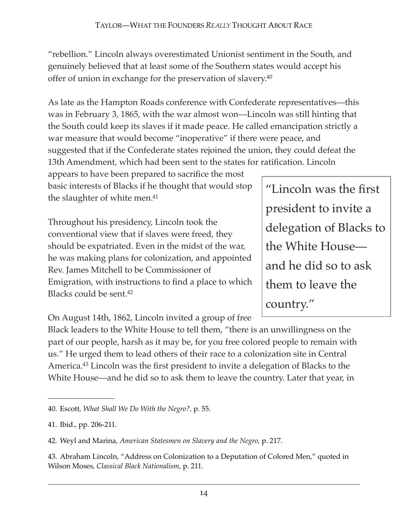"rebellion." Lincoln always overestimated Unionist sentiment in the South, and genuinely believed that at least some of the Southern states would accept his offer of union in exchange for the preservation of slavery[.40](#page-13-0)

As late as the Hampton Roads conference with Confederate representatives—this was in February 3, 1865, with the war almost won—Lincoln was still hinting that the South could keep its slaves if it made peace. He called emancipation strictly a war measure that would become "inoperative" if there were peace, and suggested that if the Confederate states rejoined the union, they could defeat the 13th Amendment, which had been sent to the states for ratification. Lincoln

appears to have been prepared to sacrifice the most basic interests of Blacks if he thought that would stop the slaughter of white men[.41](#page-13-1)

Throughout his presidency, Lincoln took the conventional view that if slaves were freed, they should be expatriated. Even in the midst of the war, he was making plans for colonization, and appointed Rev. James Mitchell to be Commissioner of Emigration, with instructions to find a place to which Blacks could be sent[.42](#page-13-2)

delegation of Blacks to the White House and he did so to ask them to leave the country."

"Lincoln was the first

president to invite a

On August 14th, 1862, Lincoln invited a group of free

Black leaders to the White House to tell them, "there is an unwillingness on the part of our people, harsh as it may be, for you free colored people to remain with us." He urged them to lead others of their race to a colonization site in Central America[.43](#page-13-3) Lincoln was the first president to invite a delegation of Blacks to the White House—and he did so to ask them to leave the country. Later that year, in

<span id="page-13-0"></span><sup>40.</sup> Escott, *What Shall We Do With the Negro?,* p. 55.

<span id="page-13-1"></span><sup>41.</sup> Ibid., pp. 206-211.

<span id="page-13-2"></span><sup>42.</sup> Weyl and Marina, *American Statesmen on Slavery and the Negro*, p. 217.

<span id="page-13-3"></span><sup>43.</sup> Abraham Lincoln, "Address on Colonization to a Deputation of Colored Men," quoted in Wilson Moses, *Classical Black Nationalism*, p. 211.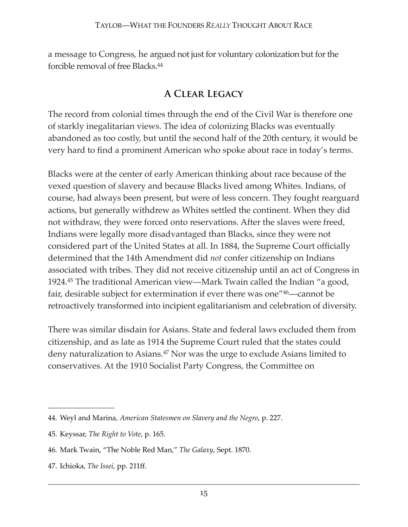a message to Congress, he argued not just for voluntary colonization but for the forcible removal of free Blacks[.44](#page-14-0)

#### **A Clear Legacy**

The record from colonial times through the end of the Civil War is therefore one of starkly inegalitarian views. The idea of colonizing Blacks was eventually abandoned as too costly, but until the second half of the 20th century, it would be very hard to find a prominent American who spoke about race in today's terms.

Blacks were at the center of early American thinking about race because of the vexed question of slavery and because Blacks lived among Whites. Indians, of course, had always been present, but were of less concern. They fought rearguard actions, but generally withdrew as Whites settled the continent. When they did not withdraw, they were forced onto reservations. After the slaves were freed, Indians were legally more disadvantaged than Blacks, since they were not considered part of the United States at all. In 1884, the Supreme Court officially determined that the 14th Amendment did *not* confer citizenship on Indians associated with tribes. They did not receive citizenship until an act of Congress in 1924[.45](#page-14-1) The traditional American view—Mark Twain called the Indian "a good, fair, desirable subject for extermination if ever there was one"[46—](#page-14-2)cannot be retroactively transformed into incipient egalitarianism and celebration of diversity.

There was similar disdain for Asians. State and federal laws excluded them from citizenship, and as late as 1914 the Supreme Court ruled that the states could deny naturalization to Asians.[47](#page-14-3) Nor was the urge to exclude Asians limited to conservatives. At the 1910 Socialist Party Congress, the Committee on

<span id="page-14-0"></span><sup>44.</sup> Weyl and Marina, *American Statesmen on Slavery and the Negro*, p. 227.

<span id="page-14-1"></span><sup>45.</sup> Keyssar, *The Right to Vote*, p. 165.

<span id="page-14-2"></span><sup>46.</sup> Mark Twain, "The Noble Red Man," *The Galaxy*, Sept. 1870.

<span id="page-14-3"></span><sup>47.</sup> Ichioka, *The Issei*, pp. 211ff.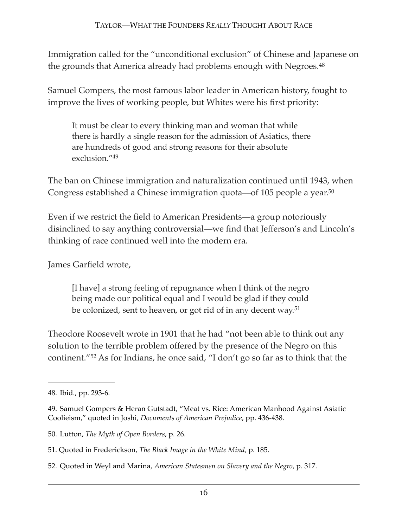Immigration called for the "unconditional exclusion" of Chinese and Japanese on the grounds that America already had problems enough with Negroes.<sup>[48](#page-15-0)</sup>

Samuel Gompers, the most famous labor leader in American history, fought to improve the lives of working people, but Whites were his first priority:

It must be clear to every thinking man and woman that while there is hardly a single reason for the admission of Asiatics, there are hundreds of good and strong reasons for their absolute exclusion.["49](#page-15-1)

The ban on Chinese immigration and naturalization continued until 1943, when Congress established a Chinese immigration quota—of 105 people a year[.50](#page-15-2)

Even if we restrict the field to American Presidents—a group notoriously disinclined to say anything controversial—we find that Jefferson's and Lincoln's thinking of race continued well into the modern era.

James Garfield wrote,

[I have] a strong feeling of repugnance when I think of the negro being made our political equal and I would be glad if they could be colonized, sent to heaven, or got rid of in any decent way.<sup>[51](#page-15-3)</sup>

Theodore Roosevelt wrote in 1901 that he had "not been able to think out any solution to the terrible problem offered by the presence of the Negro on this continent."[52](#page-15-4) As for Indians, he once said, "I don't go so far as to think that the

<span id="page-15-0"></span><sup>48.</sup> Ibid*.*, pp. 293-6.

<span id="page-15-1"></span><sup>49.</sup> Samuel Gompers & Heran Gutstadt, "Meat vs. Rice: American Manhood Against Asiatic Coolieism," quoted in Joshi, *Documents of American Prejudice*, pp. 436-438.

<span id="page-15-2"></span><sup>50.</sup> Lutton, *The Myth of Open Borders*, p. 26.

<span id="page-15-3"></span><sup>51.</sup> Quoted in Frederickson, *The Black Image in the White Mind,* p. 185.

<span id="page-15-4"></span><sup>52.</sup> Quoted in Weyl and Marina, *American Statesmen on Slavery and the Negro*, p. 317.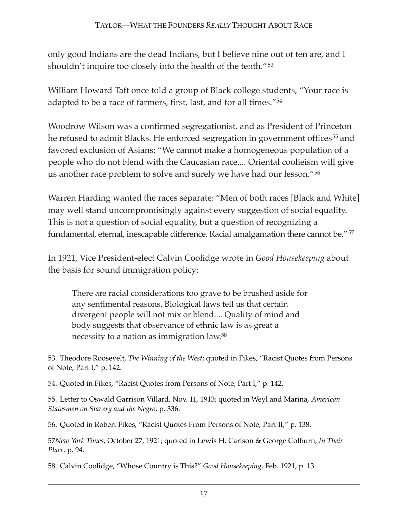only good Indians are the dead Indians, but I believe nine out of ten are, and I shouldn't inquire too closely into the health of the tenth."<sup>[53](#page-16-0)</sup>

William Howard Taft once told a group of Black college students, "Your race is adapted to be a race of farmers, first, last, and for all times."[54](#page-16-1)

Woodrow Wilson was a confirmed segregationist, and as President of Princeton he refused to admit Blacks. He enforced segregation in government offices<sup>[55](#page-16-2)</sup> and favored exclusion of Asians: "We cannot make a homogeneous population of a people who do not blend with the Caucasian race.... Oriental coolieism will give us another race problem to solve and surely we have had our lesson."[56](#page-16-3)

Warren Harding wanted the races separate: "Men of both races [Black and White] may well stand uncompromisingly against every suggestion of social equality. This is not a question of social equality, but a question of recognizing a fundamental, eternal, inescapable difference. Racial amalgamation there cannot be."[57](#page-16-4)

In 1921, Vice President-elect Calvin Coolidge wrote in *Good Housekeeping* about the basis for sound immigration policy:

There are racial considerations too grave to be brushed aside for any sentimental reasons. Biological laws tell us that certain divergent people will not mix or blend.... Quality of mind and body suggests that observance of ethnic law is as great a necessity to a nation as immigration law[.58](#page-16-5)

<span id="page-16-2"></span>55. Letter to Oswald Garrison Villard, Nov. 11, 1913; quoted in Weyl and Marina, *American Statesmen on Slavery and the Negro*, p. 336.

<span id="page-16-3"></span>56. Quoted in Robert Fikes, "Racist Quotes From Persons of Note, Part II," p. 138.

<span id="page-16-4"></span>57*New York Times*, October 27, 1921; quoted in Lewis H. Carlson & George Colburn, *In Their Place*, p. 94.

<span id="page-16-5"></span>58. Calvin Coolidge, "Whose Country is This?" *Good Housekeeping*, Feb. 1921, p. 13.

<span id="page-16-0"></span><sup>53.</sup> Theodore Roosevelt, *The Winning of the West*; quoted in Fikes, "Racist Quotes from Persons of Note, Part I," p. 142.

<span id="page-16-1"></span><sup>54.</sup> Quoted in Fikes, "Racist Quotes from Persons of Note, Part I," p. 142.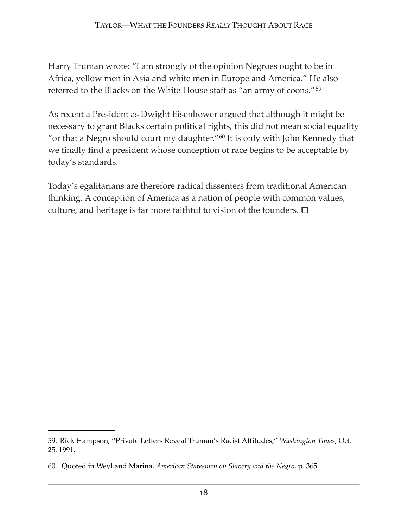Harry Truman wrote: "I am strongly of the opinion Negroes ought to be in Africa, yellow men in Asia and white men in Europe and America." He also referred to the Blacks on the White House staff as "an army of coons."[59](#page-17-0)

As recent a President as Dwight Eisenhower argued that although it might be necessary to grant Blacks certain political rights, this did not mean social equality "or that a Negro should court my daughter."[60](#page-17-1) It is only with John Kennedy that we finally find a president whose conception of race begins to be acceptable by today's standards.

Today's egalitarians are therefore radical dissenters from traditional American thinking. A conception of America as a nation of people with common values, culture, and heritage is far more faithful to vision of the founders.  $\Box$ 

<span id="page-17-0"></span><sup>59.</sup> Rick Hampson, "Private Letters Reveal Truman's Racist Attitudes," *Washington Times*, Oct. 25, 1991.

<span id="page-17-1"></span><sup>60.</sup> Quoted in Weyl and Marina, *American Statesmen on Slavery and the Negro*, p. 365.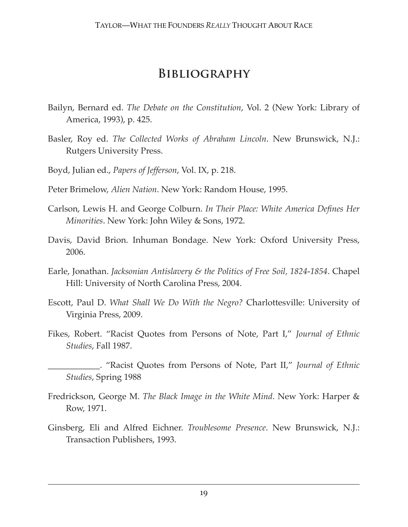### **Bibliography**

- Bailyn, Bernard ed. *The Debate on the Constitution*, Vol. 2 (New York: Library of America, 1993), p. 425.
- Basler, Roy ed. *The Collected Works of Abraham Lincoln*. New Brunswick, N.J.: Rutgers University Press.
- Boyd, Julian ed., *Papers of Jefferson*, Vol. IX, p. 218.
- Peter Brimelow, *Alien Nation*. New York: Random House, 1995.
- Carlson, Lewis H. and George Colburn. *In Their Place: White America Defines Her Minorities*. New York: John Wiley & Sons, 1972.
- Davis, David Brion. Inhuman Bondage. New York: Oxford University Press, 2006.
- Earle, Jonathan. *Jacksonian Antislavery & the Politics of Free Soil, 1824-1854*. Chapel Hill: University of North Carolina Press, 2004.
- Escott, Paul D. *What Shall We Do With the Negro?* Charlottesville: University of Virginia Press, 2009.
- Fikes, Robert. "Racist Quotes from Persons of Note, Part I," *Journal of Ethnic Studies*, Fall 1987.
- \_\_\_\_\_\_\_\_\_\_\_\_. "Racist Quotes from Persons of Note, Part II," *Journal of Ethnic Studies*, Spring 1988
- Fredrickson, George M. *The Black Image in the White Mind*. New York: Harper & Row, 1971.
- Ginsberg, Eli and Alfred Eichner. *Troublesome Presence*. New Brunswick, N.J.: Transaction Publishers, 1993.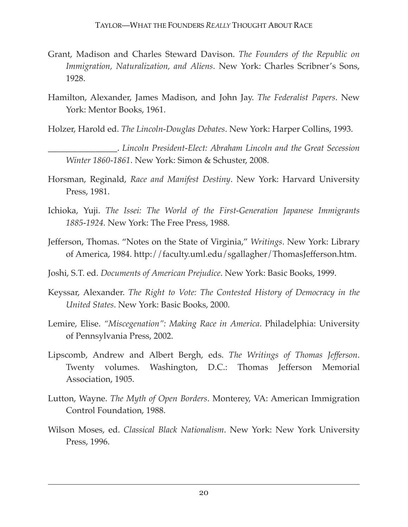- Grant, Madison and Charles Steward Davison. *The Founders of the Republic on Immigration, Naturalization, and Aliens*. New York: Charles Scribner's Sons, 1928.
- Hamilton, Alexander, James Madison, and John Jay. *The Federalist Papers*. New York: Mentor Books, 1961.
- Holzer, Harold ed. *The Lincoln-Douglas Debates*. New York: Harper Collins, 1993.
	- \_\_\_\_\_\_\_\_\_\_\_\_\_\_\_\_. *Lincoln President-Elect: Abraham Lincoln and the Great Secession Winter 1860-1861*. New York: Simon & Schuster, 2008.
- Horsman, Reginald, *Race and Manifest Destiny*. New York: Harvard University Press, 1981.
- Ichioka, Yuji. *The Issei: The World of the First-Generation Japanese Immigrants 1885-1924.* New York: The Free Press, 1988.
- Jefferson, Thomas. "Notes on the State of Virginia," *Writings*. New York: Library of America, 1984.<http://faculty.uml.edu/sgallagher/ThomasJefferson.htm>.
- Joshi, S.T. ed. *Documents of American Prejudice*. New York: Basic Books, 1999.
- Keyssar, Alexander. *The Right to Vote: The Contested History of Democracy in the United States*. New York: Basic Books, 2000.
- Lemire, Elise. *"Miscegenation": Making Race in America*. Philadelphia: University of Pennsylvania Press, 2002.
- Lipscomb, Andrew and Albert Bergh, eds. *The Writings of Thomas Jefferson*. Twenty volumes. Washington, D.C.: Thomas Jefferson Memorial Association, 1905.
- Lutton, Wayne. *The Myth of Open Borders*. Monterey, VA: American Immigration Control Foundation, 1988.
- Wilson Moses, ed. *Classical Black Nationalism*. New York: New York University Press, 1996.